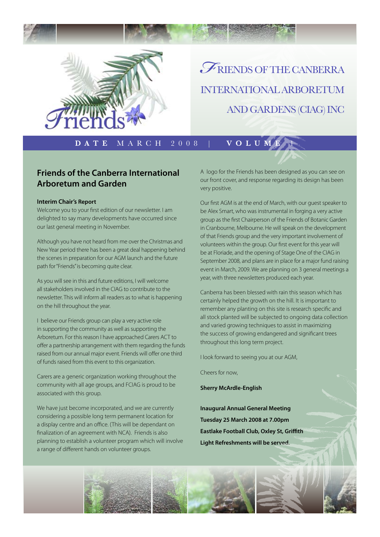

# riends of the canberra international arboretum and gardens (CIAG) Inc *F*

**Date** March 2008 | **Volume** 1

#### **Friends of the Canberra International Arboretum and Garden**

#### **Interim Chair's Report**

Welcome you to your first edition of our newsletter. I am delighted to say many developments have occurred since our last general meeting in November.

Although you have not heard from me over the Christmas and New Year period there has been a great deal happening behind the scenes in preparation for our AGM launch and the future path for "Friends" is becoming quite clear.

As you will see in this and future editions, I will welcome all stakeholders involved in the CIAG to contribute to the newsletter. This will inform all readers as to what is happening on the hill throughout the year.

I believe our Friends group can play a very active role in supporting the community as well as supporting the Arboretum. For this reason I have approached Carers ACT to offer a partnership arrangement with them regarding the funds raised from our annual major event. Friends will offer one third of funds raised from this event to this organization.

Carers are a generic organization working throughout the community with all age groups, and FCIAG is proud to be associated with this group.

We have just become incorporated, and we are currently considering a possible long term permanent location for a display centre and an office. (This will be dependant on finalization of an agreement with NCA). Friends is also planning to establish a volunteer program which will involve a range of different hands on volunteer groups.

A logo for the Friends has been designed as you can see on our front cover, and response regarding its design has been very positive.

Our first AGM is at the end of March, with our guest speaker to be Alex Smart, who was instrumental in forging a very active group as the first Chairperson of the Friends of Botanic Garden in Cranbourne, Melbourne. He will speak on the development of that Friends group and the very important involvement of volunteers within the group. Our first event for this year will be at Floriade, and the opening of Stage One of the CIAG in September 2008, and plans are in place for a major fund raising event in March, 2009. We are planning on 3 general meetings a year, with three newsletters produced each year.

Canberra has been blessed with rain this season which has certainly helped the growth on the hill. It is important to remember any planting on this site is research specific and all stock planted will be subjected to ongoing data collection and varied growing techniques to assist in maximizing the success of growing endangered and significant trees throughout this long term project.

I look forward to seeing you at our AGM,

Cheers for now,

**Sherry McArdle-English**

**Inaugural Annual General Meeting Tuesday 25 March 2008 at 7.00pm Eastlake Football Club, Oxley St, Griffith Light Refreshments will be served.** 

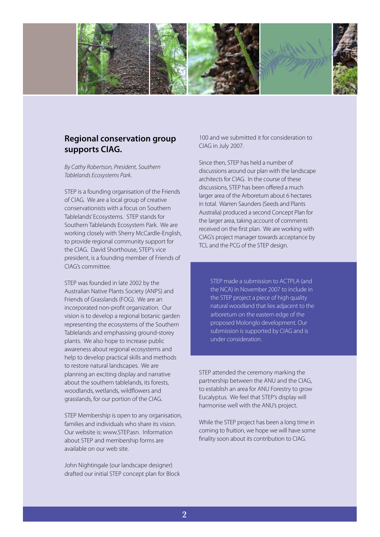

### **Regional conservation group supports CIAG.**

*By Cathy Robertson, President, Southern Tablelands Ecosystems Park.*

STEP is a founding organisation of the Friends of CIAG. We are a local group of creative conservationists with a focus on Southern Tablelands' Ecosystems. STEP stands for Southern Tablelands Ecosystem Park. We are working closely with Sherry McCardle-English, to provide regional community support for the CIAG. David Shorthouse, STEP's vice president, is a founding member of Friends of CIAG's committee.

STEP was founded in late 2002 by the Australian Native Plants Society (ANPS) and Friends of Grasslands (FOG). We are an incorporated non-profit organization. Our vision is to develop a regional botanic garden representing the ecosystems of the Southern Tablelands and emphasising ground-storey plants. We also hope to increase public awareness about regional ecosystems and help to develop practical skills and methods to restore natural landscapes. We are planning an exciting display and narrative about the southern tablelands, its forests, woodlands, wetlands, wildflowers and grasslands, for our portion of the CIAG.

STEP Membership is open to any organisation, families and individuals who share its vision. Our website is: www.STEP.asn. Information about STEP and membership forms are available on our web site.

John Nightingale (our landscape designer) drafted our initial STEP concept plan for Block 100 and we submitted it for consideration to CIAG in July 2007.

Since then, STEP has held a number of discussions around our plan with the landscape architects for CIAG. In the course of these discussions, STEP has been offered a much larger area of the Arboretum about 6 hectares in total. Warren Saunders (Seeds and Plants Australia) produced a second Concept Plan for the larger area, taking account of comments received on the first plan. We are working with CIAG's project manager towards acceptance by TCL and the PCG of the STEP design.

STEP made a submission to ACTPLA (and the NCA) in November 2007 to include in the STEP project a piece of high quality natural woodland that lies adjacent to the arboretum on the eastern edge of the proposed Molonglo development. Our submission is supported by CIAG and is under consideration.

STEP attended the ceremony marking the partnership between the ANU and the CIAG, to establish an area for ANU Forestry to grow Eucalyptus. We feel that STEP's display will harmonise well with the ANU's project.

While the STEP project has been a long time in coming to fruition, we hope we will have some finality soon about its contribution to CIAG.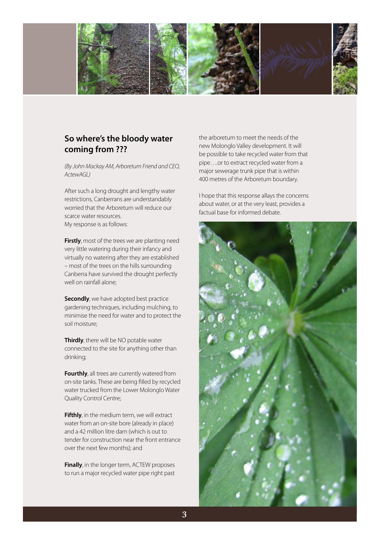

## **So where's the bloody water coming from ???**

*(By John Mackay AM, Arboretum Friend and CEO, ActewAGL)*

After such a long drought and lengthy water restrictions, Canberrans are understandably worried that the Arboretum will reduce our scarce water resources. My response is as follows:

**Firstly**, most of the trees we are planting need very little watering during their infancy and virtually no watering after they are established – most of the trees on the hills surrounding Canberra have survived the drought perfectly well on rainfall alone;

**Secondly**, we have adopted best practice gardening techniques, including mulching, to minimise the need for water and to protect the soil moisture;

**Thirdly**, there will be NO potable water connected to the site for anything other than drinking;

**Fourthly**, all trees are currently watered from on-site tanks. These are being filled by recycled water trucked from the Lower Molonglo Water Quality Control Centre;

**Fifthly**, in the medium term, we will extract water from an on-site bore (already in place) and a 42 million litre dam (which is out to tender for construction near the front entrance over the next few months); and

**Finally**, in the longer term, ACTEW proposes to run a major recycled water pipe right past the arboretum to meet the needs of the new Molonglo Valley development. It will be possible to take recycled water from that pipe….or to extract recycled water from a major sewerage trunk pipe that is within 400 metres of the Arboretum boundary.

I hope that this response allays the concerns about water, or at the very least, provides a factual base for informed debate.

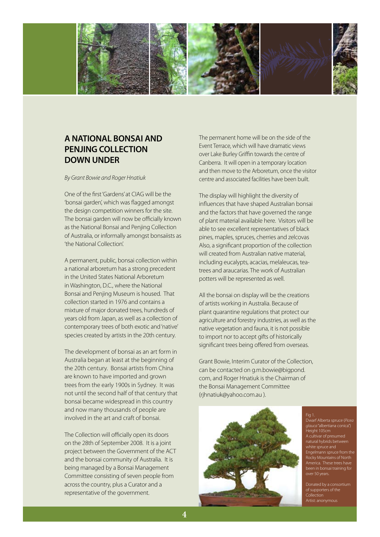

### **A NATIONAL BONSAI AND PENJING COLLECTION DOWN UNDER**

*By Grant Bowie and Roger Hnatiuk*

One of the first 'Gardens' at CIAG will be the 'bonsai garden', which was flagged amongst the design competition winners for the site. The bonsai garden will now be officially known as the National Bonsai and Penjing Collection of Australia, or informally amongst bonsaiists as 'the National Collection'.

A permanent, public, bonsai collection within a national arboretum has a strong precedent in the United States National Arboretum in Washington, D.C., where the National Bonsai and Penjing Museum is housed. That collection started in 1976 and contains a mixture of major donated trees, hundreds of years old from Japan, as well as a collection of contemporary trees of both exotic and 'native' species created by artists in the 20th century.

The development of bonsai as an art form in Australia began at least at the beginning of the 20th century. Bonsai artists from China are known to have imported and grown trees from the early 1900s in Sydney. It was not until the second half of that century that bonsai became widespread in this country and now many thousands of people are involved in the art and craft of bonsai.

The Collection will officially open its doors on the 28th of September 2008. It is a joint project between the Government of the ACT and the bonsai community of Australia. It is being managed by a Bonsai Management Committee consisting of seven people from across the country, plus a Curator and a representative of the government.

The permanent home will be on the side of the Event Terrace, which will have dramatic views over Lake Burley Griffin towards the centre of Canberra. It will open in a temporary location and then move to the Arboretum, once the visitor centre and associated facilities have been built.

The display will highlight the diversity of influences that have shaped Australian bonsai and the factors that have governed the range of plant material available here. Visitors will be able to see excellent representatives of black pines, maples, spruces, cherries and zelcovas Also, a significant proportion of the collection will created from Australian native material, including eucalypts, acacias, melaleucas, teatrees and araucarias. The work of Australian potters will be represented as well.

All the bonsai on display will be the creations of artists working in Australia. Because of plant quarantine regulations that protect our agriculture and forestry industries, as well as the native vegetation and fauna, it is not possible to import nor to accept gifts of historically significant trees being offered from overseas.

Grant Bowie, Interim Curator of the Collection, can be contacted on g.m.bowie@bigpond. com, and Roger Hnatiuk is the Chairman of the Bonsai Management Committee (rjhnatiuk@yahoo.com.au ).



Fig 1. *glauca* "albertiana conica") -<br>Height 105cm Engelmann spruce from the been in bonsai training for over 50 years.

of supporters of the **Collection**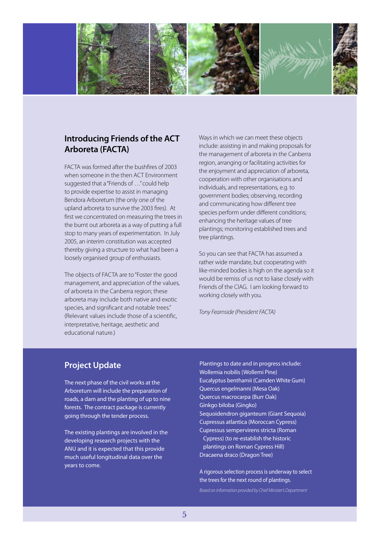

#### **Introducing Friends of the ACT Arboreta (FACTA)**

FACTA was formed after the bushfires of 2003 when someone in the then ACT Environment suggested that a "Friends of …" could help to provide expertise to assist in managing Bendora Arboretum (the only one of the upland arboreta to survive the 2003 fires). At first we concentrated on measuring the trees in the burnt out arboreta as a way of putting a full stop to many years of experimentation. In July 2005, an interim constitution was accepted thereby giving a structure to what had been a loosely organised group of enthusiasts.

The objects of FACTA are to "Foster the good management, and appreciation of the values, of arboreta in the Canberra region; these arboreta may include both native and exotic species, and significant and notable trees." (Relevant values include those of a scientific, interpretative, heritage, aesthetic and educational nature.)

Ways in which we can meet these objects include: assisting in and making proposals for the management of arboreta in the Canberra region, arranging or facilitating activities for the enjoyment and appreciation of arboreta, cooperation with other organisations and individuals, and representations, e.g. to government bodies; observing, recording and communicating how different tree species perform under different conditions; enhancing the heritage values of tree plantings; monitoring established trees and tree plantings.

So you can see that FACTA has assumed a rather wide mandate, but cooperating with like-minded bodies is high on the agenda so it would be remiss of us not to liaise closely with Friends of the CIAG. I am looking forward to working closely with you.

*Tony Fearnside (President FACTA)* 

#### **Project Update**

The next phase of the civil works at the Arboretum will include the preparation of roads, a dam and the planting of up to nine forests. The contract package is currently going through the tender process.

The existing plantings are involved in the developing research projects with the ANU and it is expected that this provide much useful longitudinal data over the years to come.

Plantings to date and in progress include: Wollemia nobilis (Wollemi Pine) Eucalyptus benthamii (Camden White Gum) Quercus engelmanni (Mesa Oak) Quercus macrocarpa (Burr Oak) Ginkgo biloba (Gingko) Sequoidendron giganteum (Giant Sequoia) Cupressus atlantica (Moroccan Cypress) Cupressus sempervirens stricta (Roman Cypress) (to re-establish the historic plantings on Roman Cypress Hill) Dracaena draco (Dragon Tree)

A rigorous selection process is underway to select the trees for the next round of plantings.

*Based on information provided by Chief Minister's Department*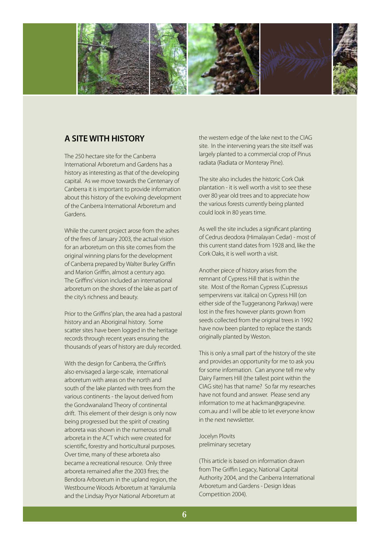

### **A SITE WITH HISTORY**

The 250 hectare site for the Canberra International Arboretum and Gardens has a history as interesting as that of the developing capital. As we move towards the Centenary of Canberra it is important to provide information about this history of the evolving development of the Canberra International Arboretum and Gardens.

While the current project arose from the ashes of the fires of January 2003, the actual vision for an arboretum on this site comes from the original winning plans for the development of Canberra prepared by Walter Burley Griffin and Marion Griffin, almost a century ago. The Griffins' vision included an international arboretum on the shores of the lake as part of the city's richness and beauty.

Prior to the Griffins' plan, the area had a pastoral history and an Aboriginal history. Some scatter sites have been logged in the heritage records through recent years ensuring the thousands of years of history are duly recorded.

With the design for Canberra, the Griffin's also envisaged a large-scale, international arboretum with areas on the north and south of the lake planted with trees from the various continents - the layout derived from the Gondwanaland Theory of continental drift. This element of their design is only now being progressed but the spirit of creating arboreta was shown in the numerous small arboreta in the ACT which were created for scientific, forestry and horticultural purposes. Over time, many of these arboreta also became a recreational resource. Only three arboreta remained after the 2003 fires; the Bendora Arboretum in the upland region, the Westbourne Woods Arboretum at Yarralumla and the Lindsay Pryor National Arboretum at

the western edge of the lake next to the CIAG site. In the intervening years the site itself was largely planted to a commercial crop of Pinus radiata (Radiata or Monteray Pine).

The site also includes the historic Cork Oak plantation - it is well worth a visit to see these over 80 year old trees and to appreciate how the various forests currently being planted could look in 80 years time.

As well the site includes a significant planting of Cedrus deodora (Himalayan Cedar) - most of this current stand dates from 1928 and, like the Cork Oaks, it is well worth a visit.

Another piece of history arises from the remnant of Cypress Hill that is within the site. Most of the Roman Cypress (Cupressus sempervirens var. italica) on Cypress Hill (on either side of the Tuggeranong Parkway) were lost in the fires however plants grown from seeds collected from the original trees in 1992 have now been planted to replace the stands originally planted by Weston.

This is only a small part of the history of the site and provides an opportunity for me to ask you for some information. Can anyone tell me why Dairy Farmers Hill (the tallest point within the CIAG site) has that name? So far my researches have not found and answer. Please send any information to me at hackman@grapevine. com.au and I will be able to let everyone know in the next newsletter.

Jocelyn Plovits preliminary secretary

(This article is based on information drawn from The Griffin Legacy, National Capital Authority 2004, and the Canberra International Arboretum and Gardens - Design Ideas Competition 2004).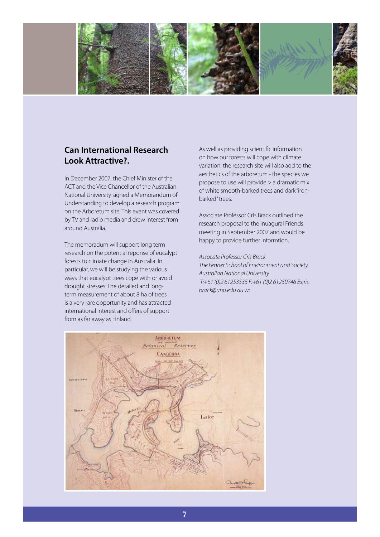

### **Can International Research Look Attractive?.**

In December 2007, the Chief Minister of the ACT and the Vice Chancellor of the Australian National University signed a Memorandum of Understanding to develop a research program on the Arboretum site. This event was covered by TV and radio media and drew interest from around Australia.

The memoradum will support long term research on the potential reponse of eucalypt forests to climate change in Australia. In particular, we will be studying the various ways that eucalypt trees cope with or avoid drought stresses. The detailed and longterm measurement of about 8 ha of trees is a very rare opportunity and has attracted international interest and offers of support from as far away as Finland.

As well as providing scientific information on how our forests will cope with climate variation, the research site will also add to the aesthetics of the arboretum - the species we propose to use will provide > a dramatic mix of white smooth-barked trees and dark "ironbarked" trees.

Associate Professor Cris Brack outlined the research proposal to the inuagural Friends meeting in September 2007 and would be happy to provide further informtion.

#### *Assocate Professor Cris Brack*

*The Fenner School of Environment and Society. Australian National University T:+61 (0)2 61253535 F:+61 (0)2 61250746 E:cris. brack@anu.edu.au w:*